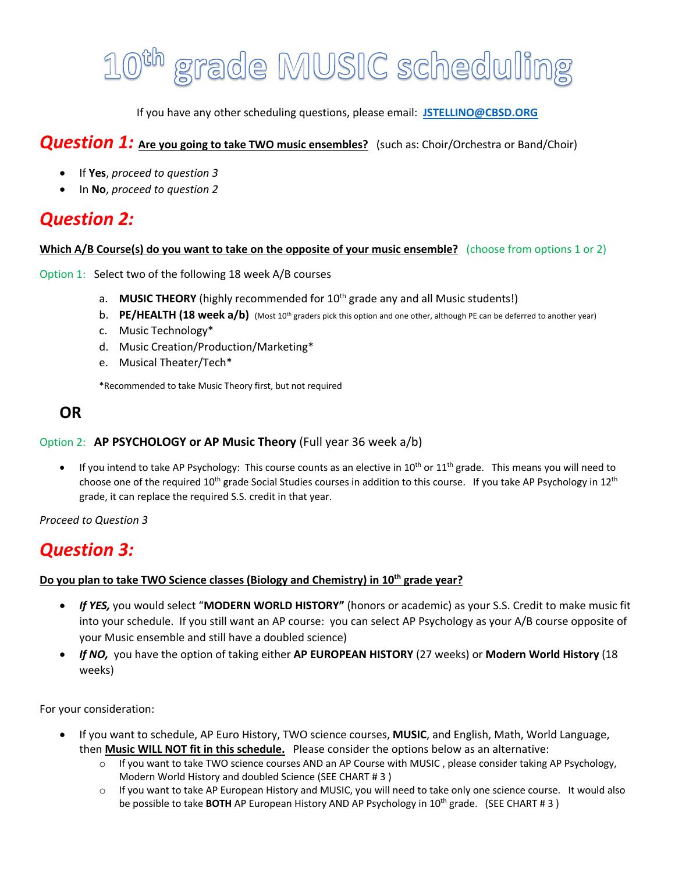# 0<sup>th</sup> grade MUSIC scheduling

If you have any other scheduling questions, please email: **JSTELLINO@CBSD.ORG** 

#### *Question 1:* **Are you going to take TWO music ensembles?** (such as: Choir/Orchestra or Band/Choir)

- If **Yes**, *proceed to question 3*
- In **No**, *proceed to question 2*

## *Question 2:*

#### **Which A/B Course(s) do you want to take on the opposite of your music ensemble?** (choose from options 1 or 2)

Option 1: Select two of the following 18 week A/B courses

- a. **MUSIC THEORY** (highly recommended for 10<sup>th</sup> grade any and all Music students!)
- b. **PE/HEALTH (18 week a/b)** (Most 10<sup>th</sup> graders pick this option and one other, although PE can be deferred to another year)
- c. Music Technology\*
- d. Music Creation/Production/Marketing\*
- e. Musical Theater/Tech\*

\*Recommended to take Music Theory first, but not required

#### **OR**

#### Option 2: **AP PSYCHOLOGY or AP Music Theory** (Full year 36 week a/b)

• If you intend to take AP Psychology: This course counts as an elective in  $10^{th}$  or  $11^{th}$  grade. This means you will need to choose one of the required  $10^{th}$  grade Social Studies courses in addition to this course. If you take AP Psychology in  $12^{th}$ grade, it can replace the required S.S. credit in that year.

*Proceed to Question 3*

#### *Question 3:*

#### **Do you plan to take TWO Science classes (Biology and Chemistry) in 10th grade year?**

- *If YES,* you would select "**MODERN WORLD HISTORY"** (honors or academic) as your S.S. Credit to make music fit into your schedule. If you still want an AP course: you can select AP Psychology as your A/B course opposite of your Music ensemble and still have a doubled science)
- *If NO,* you have the option of taking either **AP EUROPEAN HISTORY** (27 weeks) or **Modern World History** (18 weeks)

For your consideration:

- If you want to schedule, AP Euro History, TWO science courses, **MUSIC**, and English, Math, World Language, then **Music WILL NOT fit in this schedule.** Please consider the options below as an alternative:
	- If you want to take TWO science courses AND an AP Course with MUSIC, please consider taking AP Psychology, Modern World History and doubled Science (SEE CHART # 3 )
	- o If you want to take AP European History and MUSIC, you will need to take only one science course. It would also be possible to take **BOTH** AP European History AND AP Psychology in 10th grade. (SEE CHART # 3 )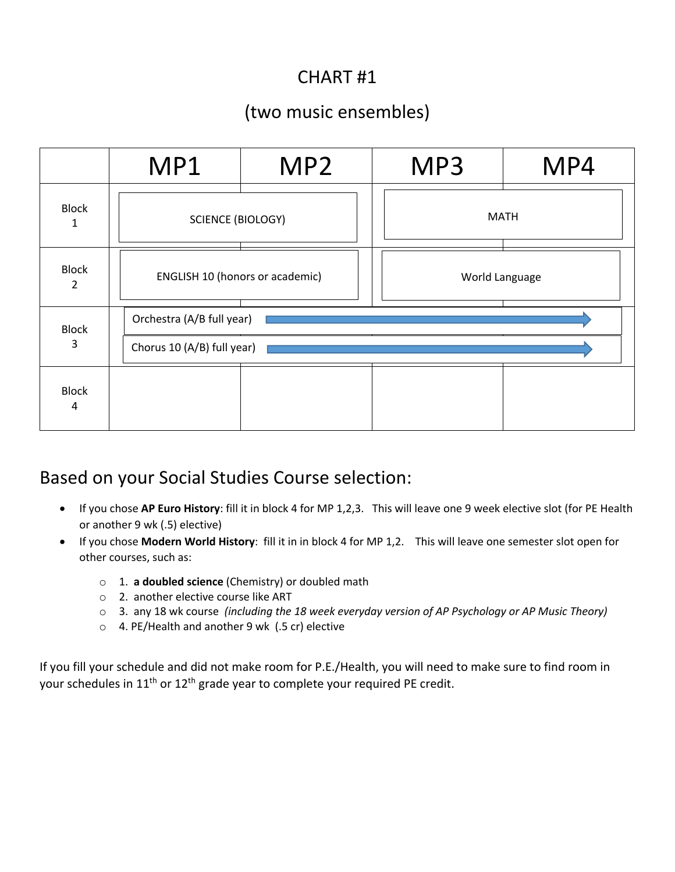# CHART #1

## (two music ensembles)

|                   | MP1                                                     | MP <sub>2</sub> | MP3            | MP4 |
|-------------------|---------------------------------------------------------|-----------------|----------------|-----|
| <b>Block</b><br>1 | <b>SCIENCE (BIOLOGY)</b>                                |                 | <b>MATH</b>    |     |
| <b>Block</b><br>2 | <b>ENGLISH 10 (honors or academic)</b>                  |                 | World Language |     |
| <b>Block</b><br>3 | Orchestra (A/B full year)<br>Chorus 10 (A/B) full year) |                 |                |     |
| <b>Block</b><br>4 |                                                         |                 |                |     |

### Based on your Social Studies Course selection:

- If you chose **AP Euro History**: fill it in block 4 for MP 1,2,3. This will leave one 9 week elective slot (for PE Health or another 9 wk (.5) elective)
- If you chose **Modern World History**: fill it in in block 4 for MP 1,2. This will leave one semester slot open for other courses, such as:
	- o 1. **a doubled science** (Chemistry) or doubled math
	- o 2. another elective course like ART
	- o 3. any 18 wk course *(including the 18 week everyday version of AP Psychology or AP Music Theory)*
	- o 4. PE/Health and another 9 wk (.5 cr) elective

If you fill your schedule and did not make room for P.E./Health, you will need to make sure to find room in your schedules in 11<sup>th</sup> or 12<sup>th</sup> grade year to complete your required PE credit.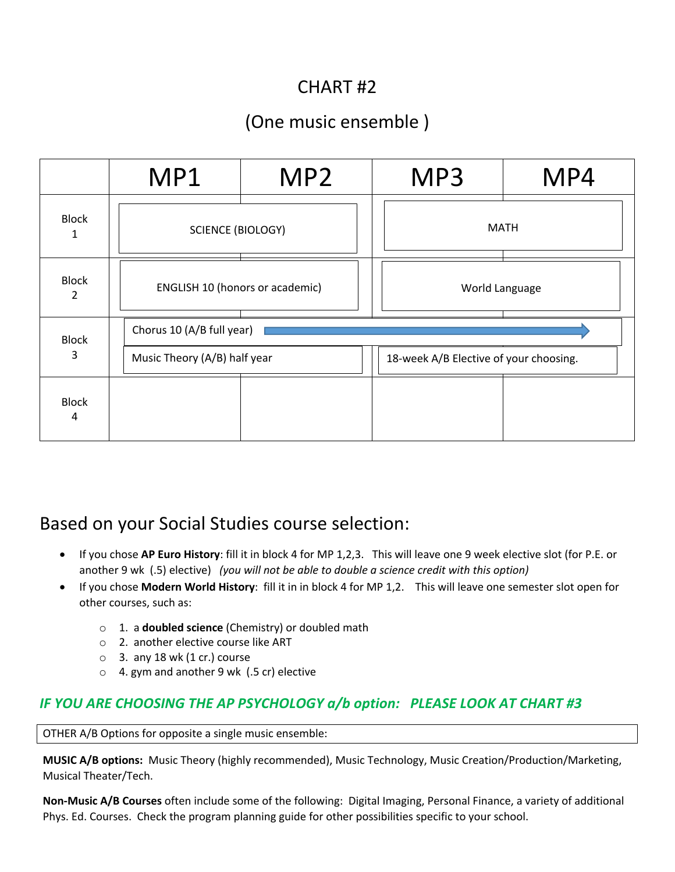## CHART #2

# (One music ensemble )

|                                | MP1                                    | MP <sub>2</sub> | MP3                                    | MP4 |  |
|--------------------------------|----------------------------------------|-----------------|----------------------------------------|-----|--|
| <b>Block</b><br>1              | <b>SCIENCE (BIOLOGY)</b>               |                 | <b>MATH</b>                            |     |  |
| <b>Block</b><br>$\overline{2}$ | <b>ENGLISH 10 (honors or academic)</b> |                 | World Language                         |     |  |
| <b>Block</b>                   | Chorus 10 (A/B full year)              |                 |                                        |     |  |
| 3                              | Music Theory (A/B) half year           |                 | 18-week A/B Elective of your choosing. |     |  |
| <b>Block</b><br>4              |                                        |                 |                                        |     |  |

## Based on your Social Studies course selection:

- If you chose **AP Euro History**: fill it in block 4 for MP 1,2,3. This will leave one 9 week elective slot (for P.E. or another 9 wk (.5) elective) *(you will not be able to double a science credit with this option)*
- If you chose **Modern World History**: fill it in in block 4 for MP 1,2. This will leave one semester slot open for other courses, such as:
	- o 1. a **doubled science** (Chemistry) or doubled math
	- o 2. another elective course like ART
	- $\circ$  3. any 18 wk (1 cr.) course
	- o 4. gym and another 9 wk (.5 cr) elective

#### *IF YOU ARE CHOOSING THE AP PSYCHOLOGY a/b option: PLEASE LOOK AT CHART #3*

OTHER A/B Options for opposite a single music ensemble:

**MUSIC A/B options:** Music Theory (highly recommended), Music Technology, Music Creation/Production/Marketing, Musical Theater/Tech.

**Non-Music A/B Courses** often include some of the following: Digital Imaging, Personal Finance, a variety of additional Phys. Ed. Courses. Check the program planning guide for other possibilities specific to your school.